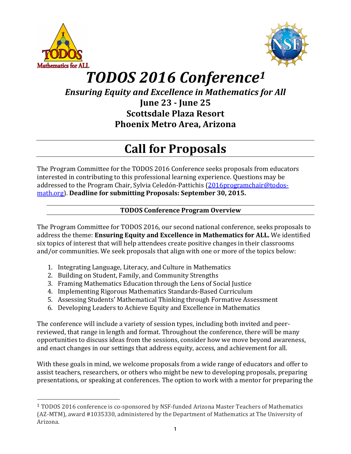



# *TODOS 2016 Conference1*

*Ensuring Equity and Excellence in Mathematics for All* 

**June 23 - June 25 Scottsdale Plaza Resort Phoenix Metro Area, Arizona**

## **Call for Proposals**

The Program Committee for the TODOS 2016 Conference seeks proposals from educators interested in contributing to this professional learning experience. Questions may be addressed to the Program Chair, Sylvia Celedón-Pattichis  $(2016programchain@todos$ math.org). Deadline for submitting Proposals: September 30, 2015.

## **TODOS Conference Program Overview**

The Program Committee for TODOS 2016, our second national conference, seeks proposals to address the theme: **Ensuring Equity and Excellence in Mathematics for ALL.** We identified six topics of interest that will help attendees create positive changes in their classrooms and/or communities. We seek proposals that align with one or more of the topics below:

- 1. Integrating Language, Literacy, and Culture in Mathematics
- 2. Building on Student, Family, and Community Strengths
- 3. Framing Mathematics Education through the Lens of Social Justice
- 4. Implementing Rigorous Mathematics Standards-Based Curriculum
- 5. Assessing Students' Mathematical Thinking through Formative Assessment
- 6. Developing Leaders to Achieve Equity and Excellence in Mathematics

The conference will include a variety of session types, including both invited and peerreviewed, that range in length and format. Throughout the conference, there will be many opportunities to discuss ideas from the sessions, consider how we move beyond awareness, and enact changes in our settings that address equity, access, and achievement for all.

With these goals in mind, we welcome proposals from a wide range of educators and offer to assist teachers, researchers, or others who might be new to developing proposals, preparing presentations, or speaking at conferences. The option to work with a mentor for preparing the

 <sup>1</sup> TODOS 2016 conference is co-sponsored by NSF-funded Arizona Master Teachers of Mathematics (AZ-MTM), award #1035330, administered by the Department of Mathematics at The University of Arizona.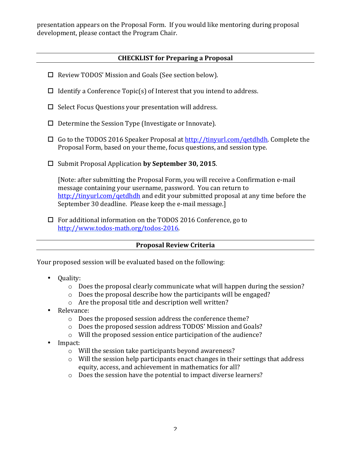presentation appears on the Proposal Form. If you would like mentoring during proposal development, please contact the Program Chair.

## **CHECKLIST for Preparing a Proposal**

- $\Box$  Review TODOS' Mission and Goals (See section below).
- $\Box$  Identify a Conference Topic(s) of Interest that you intend to address.
- $\Box$  Select Focus Ouestions your presentation will address.
- $\Box$  Determine the Session Type (Investigate or Innovate).
- $\Box$  Go to the TODOS 2016 Speaker Proposal at  $\frac{http://tinyrl.com/qetdhdh.}$  Complete the Proposal Form, based on your theme, focus questions, and session type.
- □ Submit Proposal Application **by September 30, 2015**.

[Note: after submitting the Proposal Form, you will receive a Confirmation e-mail message containing your username, password. You can return to http://tinyurl.com/qetdhdh and edit your submitted proposal at any time before the September 30 deadline. Please keep the e-mail message.]

 $\Box$  For additional information on the TODOS 2016 Conference, go to http://www.todos-math.org/todos-2016.

## **Proposal Review Criteria**

Your proposed session will be evaluated based on the following:

- Quality:
	- $\circ$  Does the proposal clearly communicate what will happen during the session?
	- $\circ$  Does the proposal describe how the participants will be engaged?
	- $\circ$  Are the proposal title and description well written?
- Relevance:
	- $\circ$  Does the proposed session address the conference theme?
	- $\circ$  Does the proposed session address TODOS' Mission and Goals?
	- $\circ$  Will the proposed session entice participation of the audience?
- Impact:
	- $\circ$  Will the session take participants beyond awareness?
	- $\circ$  Will the session help participants enact changes in their settings that address equity, access, and achievement in mathematics for all?
	- $\circ$  Does the session have the potential to impact diverse learners?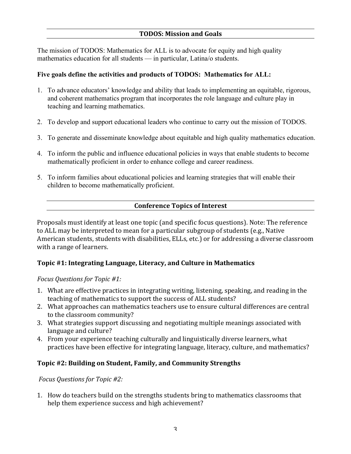The mission of TODOS: Mathematics for ALL is to advocate for equity and high quality mathematics education for all students — in particular, Latina/o students.

#### **Five goals define the activities and products of TODOS: Mathematics for ALL:**

- 1. To advance educators' knowledge and ability that leads to implementing an equitable, rigorous, and coherent mathematics program that incorporates the role language and culture play in teaching and learning mathematics.
- 2. To develop and support educational leaders who continue to carry out the mission of TODOS.
- 3. To generate and disseminate knowledge about equitable and high quality mathematics education.
- 4. To inform the public and influence educational policies in ways that enable students to become mathematically proficient in order to enhance college and career readiness.
- 5. To inform families about educational policies and learning strategies that will enable their children to become mathematically proficient.

#### **Conference Topics of Interest**

Proposals must identify at least one topic (and specific focus questions). Note: The reference to ALL may be interpreted to mean for a particular subgroup of students (e.g., Native American students, students with disabilities, ELLs, etc.) or for addressing a diverse classroom with a range of learners.

## **Topic #1: Integrating Language, Literacy, and Culture in Mathematics**

#### *Focus Questions for Topic #1:*

- 1. What are effective practices in integrating writing, listening, speaking, and reading in the teaching of mathematics to support the success of ALL students?
- 2. What approaches can mathematics teachers use to ensure cultural differences are central to the classroom community?
- 3. What strategies support discussing and negotiating multiple meanings associated with language and culture?
- 4. From your experience teaching culturally and linguistically diverse learners, what practices have been effective for integrating language, literacy, culture, and mathematics?

#### **Topic #2: Building on Student, Family, and Community Strengths**

*Focus Questions for Topic #2:*

1. How do teachers build on the strengths students bring to mathematics classrooms that help them experience success and high achievement?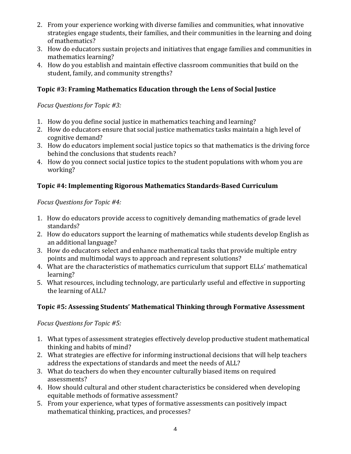- 2. From your experience working with diverse families and communities, what innovative strategies engage students, their families, and their communities in the learning and doing of mathematics?
- 3. How do educators sustain projects and initiatives that engage families and communities in mathematics learning?
- 4. How do you establish and maintain effective classroom communities that build on the student, family, and community strengths?

## **Topic #3: Framing Mathematics Education through the Lens of Social Justice**

*Focus Questions for Topic #3:*

- 1. How do you define social justice in mathematics teaching and learning?
- 2. How do educators ensure that social justice mathematics tasks maintain a high level of cognitive demand?
- 3. How do educators implement social justice topics so that mathematics is the driving force behind the conclusions that students reach?
- 4. How do you connect social justice topics to the student populations with whom you are working?

## **Topic #4: Implementing Rigorous Mathematics Standards-Based Curriculum**

## *Focus Questions for Topic #4:*

- 1. How do educators provide access to cognitively demanding mathematics of grade level standards?
- 2. How do educators support the learning of mathematics while students develop English as an additional language?
- 3. How do educators select and enhance mathematical tasks that provide multiple entry points and multimodal ways to approach and represent solutions?
- 4. What are the characteristics of mathematics curriculum that support ELLs' mathematical learning?
- 5. What resources, including technology, are particularly useful and effective in supporting the learning of ALL?

## **Topic #5: Assessing Students' Mathematical Thinking through Formative Assessment**

*Focus Questions for Topic #5:*

- 1. What types of assessment strategies effectively develop productive student mathematical thinking and habits of mind?
- 2. What strategies are effective for informing instructional decisions that will help teachers address the expectations of standards and meet the needs of ALL?
- 3. What do teachers do when they encounter culturally biased items on required assessments?
- 4. How should cultural and other student characteristics be considered when developing equitable methods of formative assessment?
- 5. From your experience, what types of formative assessments can positively impact mathematical thinking, practices, and processes?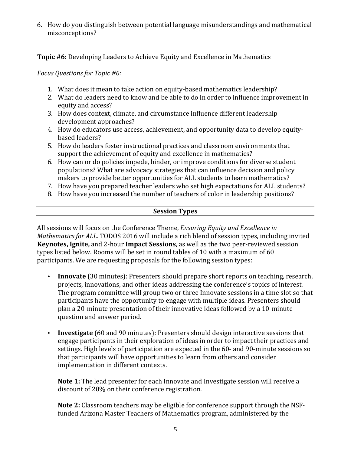6. How do you distinguish between potential language misunderstandings and mathematical misconceptions?

**Topic #6:** Developing Leaders to Achieve Equity and Excellence in Mathematics

*Focus Questions for Topic #6:*

- 1. What does it mean to take action on equity-based mathematics leadership?
- 2. What do leaders need to know and be able to do in order to influence improvement in equity and access?
- 3. How does context, climate, and circumstance influence different leadership development approaches?
- 4. How do educators use access, achievement, and opportunity data to develop equitybased leaders?
- 5. How do leaders foster instructional practices and classroom environments that support the achievement of equity and excellence in mathematics?
- 6. How can or do policies impede, hinder, or improve conditions for diverse student populations? What are advocacy strategies that can influence decision and policy makers to provide better opportunities for ALL students to learn mathematics?
- 7. How have you prepared teacher leaders who set high expectations for ALL students?
- 8. How have you increased the number of teachers of color in leadership positions?

#### **Session Types**

All sessions will focus on the Conference Theme, *Ensuring Equity and Excellence in Mathematics for ALL*. TODOS 2016 will include a rich blend of session types, including invited **Keynotes, Ignite,** and 2-hour **Impact Sessions**, as well as the two peer-reviewed session types listed below. Rooms will be set in round tables of 10 with a maximum of 60 participants. We are requesting proposals for the following session types:

- **Innovate** (30 minutes): Presenters should prepare short reports on teaching, research, projects, innovations, and other ideas addressing the conference's topics of interest. The program committee will group two or three Innovate sessions in a time slot so that participants have the opportunity to engage with multiple ideas. Presenters should plan a 20-minute presentation of their innovative ideas followed by a 10-minute question and answer period.
- **Investigate** (60 and 90 minutes): Presenters should design interactive sessions that engage participants in their exploration of ideas in order to impact their practices and settings. High levels of participation are expected in the 60- and 90-minute sessions so that participants will have opportunities to learn from others and consider implementation in different contexts.

**Note 1:** The lead presenter for each Innovate and Investigate session will receive a discount of 20% on their conference registration.

**Note 2:** Classroom teachers may be eligible for conference support through the NSFfunded Arizona Master Teachers of Mathematics program, administered by the